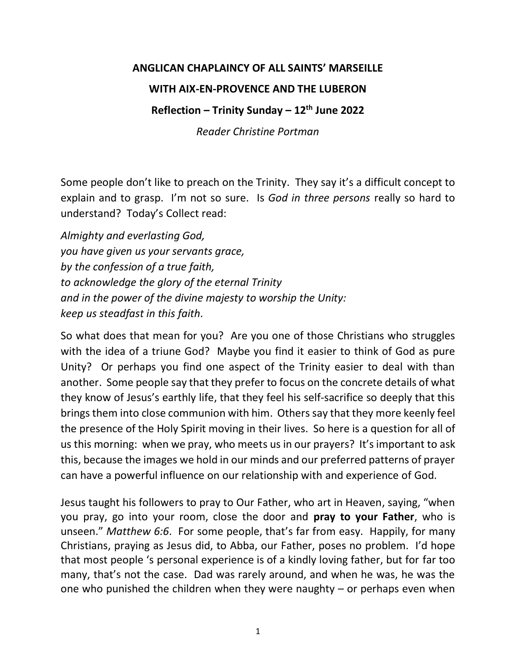## **ANGLICAN CHAPLAINCY OF ALL SAINTS' MARSEILLE**

## **WITH AIX-EN-PROVENCE AND THE LUBERON**

## **Reflection – Trinity Sunday – 12th June 2022**

*Reader Christine Portman*

Some people don't like to preach on the Trinity. They say it's a difficult concept to explain and to grasp. I'm not so sure. Is *God in three persons* really so hard to understand? Today's Collect read:

*Almighty and everlasting God, you have given us your servants grace, by the confession of a true faith, to acknowledge the glory of the eternal Trinity and in the power of the divine majesty to worship the Unity: keep us steadfast in this faith.*

So what does that mean for you? Are you one of those Christians who struggles with the idea of a triune God? Maybe you find it easier to think of God as pure Unity? Or perhaps you find one aspect of the Trinity easier to deal with than another. Some people say that they prefer to focus on the concrete details of what they know of Jesus's earthly life, that they feel his self-sacrifice so deeply that this brings them into close communion with him. Others say that they more keenly feel the presence of the Holy Spirit moving in their lives. So here is a question for all of us this morning: when we pray, who meets us in our prayers? It's important to ask this, because the images we hold in our minds and our preferred patterns of prayer can have a powerful influence on our relationship with and experience of God.

Jesus taught his followers to pray to Our Father, who art in Heaven, saying, "when you pray, go into your room, close the door and **pray to your Father**, who is unseen." *[Matthew 6:6](https://biblegateway.com/passage/?search=Matthew+6%3A6&version=NIV)*. For some people, that's far from easy. Happily, for many Christians, praying as Jesus did, to Abba, our Father, poses no problem. I'd hope that most people 's personal experience is of a kindly loving father, but for far too many, that's not the case. Dad was rarely around, and when he was, he was the one who punished the children when they were naughty – or perhaps even when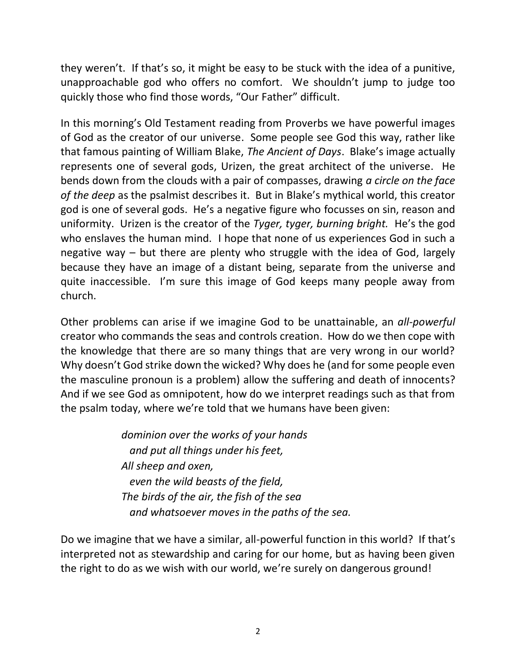they weren't. If that's so, it might be easy to be stuck with the idea of a punitive, unapproachable god who offers no comfort. We shouldn't jump to judge too quickly those who find those words, "Our Father" difficult.

In this morning's Old Testament reading from Proverbs we have powerful images of God as the creator of our universe. Some people see God this way, rather like that famous painting of William Blake, *The Ancient of Days*. Blake's image actually represents one of several gods, Urizen, the great architect of the universe. He bends down from the clouds with a pair of compasses, drawing *a circle on the face of the deep* as the psalmist describes it. But in Blake's mythical world, this creator god is one of several gods. He's a negative figure who focusses on sin, reason and uniformity. Urizen is the creator of the *Tyger, tyger, burning bright.* He's the god who enslaves the human mind. I hope that none of us experiences God in such a negative way – but there are plenty who struggle with the idea of God, largely because they have an image of a distant being, separate from the universe and quite inaccessible. I'm sure this image of God keeps many people away from church.

Other problems can arise if we imagine God to be unattainable, an *all-powerful* creator who commands the seas and controls creation. How do we then cope with the knowledge that there are so many things that are very wrong in our world? Why doesn't God strike down the wicked? Why does he (and for some people even the masculine pronoun is a problem) allow the suffering and death of innocents? And if we see God as omnipotent, how do we interpret readings such as that from the psalm today, where we're told that we humans have been given:

> *dominion over the works of your hands and put all things under his feet, All sheep and oxen, even the wild beasts of the field, The birds of the air, the fish of the sea and whatsoever moves in the paths of the sea.*

Do we imagine that we have a similar, all-powerful function in this world? If that's interpreted not as stewardship and caring for our home, but as having been given the right to do as we wish with our world, we're surely on dangerous ground!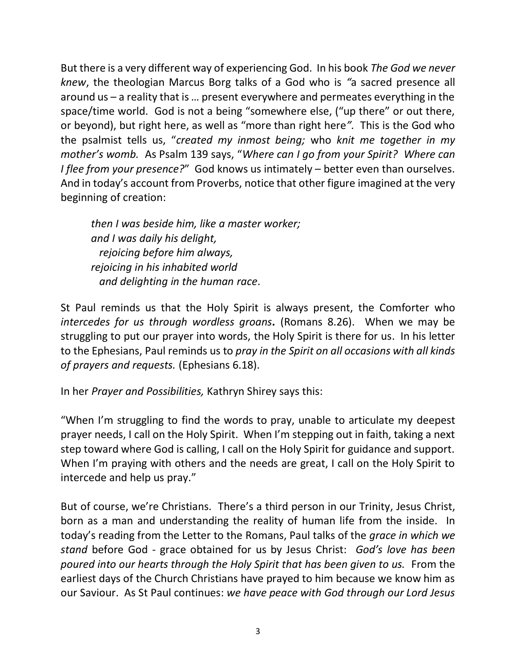But there is a very different way of experiencing God. In his book *The God we never knew*, the theologian Marcus Borg talks of a God who is *"*a sacred presence all around us – a reality that is … present everywhere and permeates everything in the space/time world. God is not a being "somewhere else, ("up there" or out there, or beyond), but right here, as well as "more than right here*".* This is the God who the psalmist tells us, "*created my inmost being;* who *knit me together in my mother's womb.* As Psalm 139 says, "*Where can I go from your Spirit? Where can I flee from your presence?*" God knows us intimately – better even than ourselves. And in today's account from Proverbs, notice that other figure imagined at the very beginning of creation:

*then I was beside him, like a master worker; and I was daily his delight, rejoicing before him always, rejoicing in his inhabited world and delighting in the human race*.

St Paul reminds us that the Holy Spirit is always present, the Comforter who *intercedes for us through wordless groans.* (Romans 8.26). When we may be struggling to put our prayer into words, the Holy Spirit is there for us. In his letter to the Ephesians, Paul reminds us to *pray in the Spirit on all occasions with all kinds of prayers and requests.* [\(Ephesians 6.18\)](https://biblegateway.com/passage/?search=Ephesians+6%3A18&version=NIV).

In her *Prayer and Possibilities,* Kathryn Shirey says this:

"When I'm struggling to find the words to pray, unable to articulate my deepest prayer needs, I call on the Holy Spirit. When I'm stepping out in faith, taking a next step toward where God is calling, I call on the Holy Spirit for guidance and support. When I'm praying with others and the needs are great, I call on the Holy Spirit to intercede and help us pray."

But of course, we're Christians. There's a third person in our Trinity, Jesus Christ, born as a man and understanding the reality of human life from the inside. In today's reading from the Letter to the Romans, Paul talks of the *grace in which we stand* before God - grace obtained for us by Jesus Christ: *God's love has been poured into our hearts through the Holy Spirit that has been given to us.* From the earliest days of the Church Christians have prayed to him because we know him as our Saviour. As St Paul continues: *we have peace with God through our Lord Jesus*